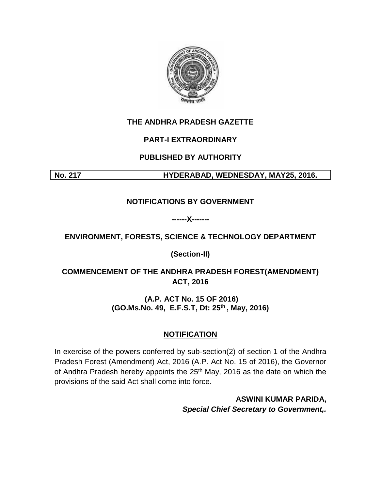

#### **THE ANDHRA PRADESH GAZETTE**

#### **PART-I EXTRAORDINARY**

# **PUBLISHED BY AUTHORITY**

**No. 217 HYDERABAD, WEDNESDAY, MAY25, 2016.**

#### **NOTIFICATIONS BY GOVERNMENT**

**------X-------**

# **ENVIRONMENT, FORESTS, SCIENCE & TECHNOLOGY DEPARTMENT**

**(Section-II)**

# **COMMENCEMENT OF THE ANDHRA PRADESH FOREST(AMENDMENT) ACT, 2016**

# **(A.P. ACT No. 15 OF 2016) (GO.Ms.No. 49, E.F.S.T, Dt: 25th , May, 2016)**

# **NOTIFICATION**

In exercise of the powers conferred by sub-section(2) of section 1 of the Andhra Pradesh Forest (Amendment) Act, 2016 (A.P. Act No. 15 of 2016), the Governor of Andhra Pradesh hereby appoints the 25<sup>th</sup> May, 2016 as the date on which the provisions of the said Act shall come into force.

> **ASWINI KUMAR PARIDA,** *Special Chief Secretary to Government,.*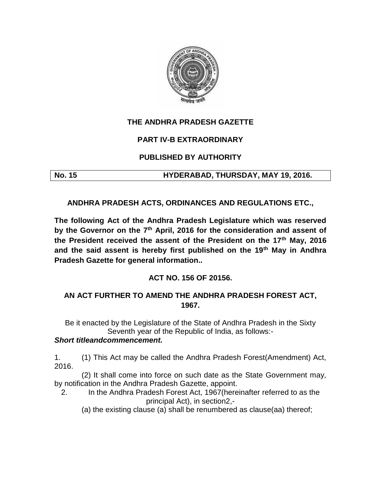

#### **THE ANDHRA PRADESH GAZETTE**

#### **PART IV-B EXTRAORDINARY**

# **PUBLISHED BY AUTHORITY**

**No. 15 HYDERABAD, THURSDAY, MAY 19, 2016.**

**ANDHRA PRADESH ACTS, ORDINANCES AND REGULATIONS ETC.,**

**The following Act of the Andhra Pradesh Legislature which was reserved by the Governor on the 7th April, 2016 for the consideration and assent of the President received the assent of the President on the 17th May, 2016 and the said assent is hereby first published on the 19th May in Andhra Pradesh Gazette for general information..**

#### **ACT NO. 156 OF 20156.**

# **AN ACT FURTHER TO AMEND THE ANDHRA PRADESH FOREST ACT, 1967.**

Be it enacted by the Legislature of the State of Andhra Pradesh in the Sixty Seventh year of the Republic of India, as follows:-

#### *Short titleandcommencement.*

1. (1) This Act may be called the Andhra Pradesh Forest(Amendment) Act, 2016.

(2) It shall come into force on such date as the State Government may, by notification in the Andhra Pradesh Gazette, appoint.

2. In the Andhra Pradesh Forest Act, 1967(hereinafter referred to as the principal Act), in section2,-

(a) the existing clause (a) shall be renumbered as clause(aa) thereof;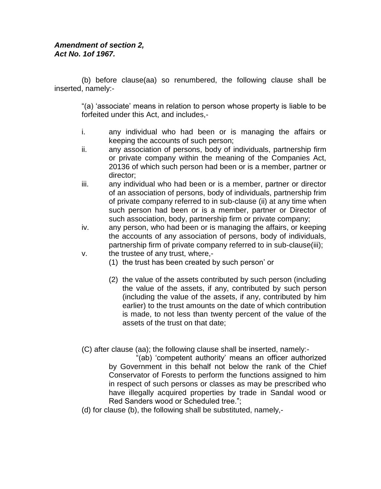#### *Amendment of section 2, Act No. 1of 1967.*

(b) before clause(aa) so renumbered, the following clause shall be inserted, namely:-

"(a) 'associate' means in relation to person whose property is liable to be forfeited under this Act, and includes,-

- i. any individual who had been or is managing the affairs or keeping the accounts of such person;
- ii. any association of persons, body of individuals, partnership firm or private company within the meaning of the Companies Act, 20136 of which such person had been or is a member, partner or director;
- iii. any individual who had been or is a member, partner or director of an association of persons, body of individuals, partnership frim of private company referred to in sub-clause (ii) at any time when such person had been or is a member, partner or Director of such association, body, partnership firm or private company;
- iv. any person, who had been or is managing the affairs, or keeping the accounts of any association of persons, body of individuals, partnership firm of private company referred to in sub-clause(iii);
- v. the trustee of any trust, where,-
	- (1) the trust has been created by such person' or
	- (2) the value of the assets contributed by such person (including the value of the assets, if any, contributed by such person (including the value of the assets, if any, contributed by him earlier) to the trust amounts on the date of which contribution is made, to not less than twenty percent of the value of the assets of the trust on that date;

(C) after clause (aa); the following clause shall be inserted, namely:-

"(ab) 'competent authority' means an officer authorized by Government in this behalf not below the rank of the Chief Conservator of Forests to perform the functions assigned to him in respect of such persons or classes as may be prescribed who have illegally acquired properties by trade in Sandal wood or Red Sanders wood or Scheduled tree.";

(d) for clause (b), the following shall be substituted, namely,-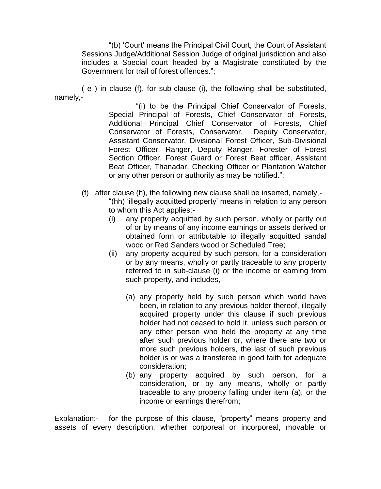"(b) 'Court' means the Principal Civil Court, the Court of Assistant Sessions Judge/Additional Session Judge of original jurisdiction and also includes a Special court headed by a Magistrate constituted by the Government for trail of forest offences.";

( e ) in clause (f), for sub-clause (i), the following shall be substituted, namely,-

> "(i) to be the Principal Chief Conservator of Forests, Special Principal of Forests, Chief Conservator of Forests, Additional Principal Chief Conservator of Forests, Chief Conservator of Forests, Conservator, Deputy Conservator, Assistant Conservator, Divisional Forest Officer, Sub-Divisional Forest Officer, Ranger, Deputy Ranger, Forester of Forest Section Officer, Forest Guard or Forest Beat officer, Assistant Beat Officer, Thanadar, Checking Officer or Plantation Watcher or any other person or authority as may be notified.";

- (f) after clause (h), the following new clause shall be inserted, namely,- "(hh) 'illegally acquitted property' means in relation to any person to whom this Act applies:-
	- (i) any property acquitted by such person, wholly or partly out of or by means of any income earnings or assets derived or obtained form or attributable to illegally acquitted sandal wood or Red Sanders wood or Scheduled Tree;
	- (ii) any property acquired by such person, for a consideration or by any means, wholly or partly traceable to any property referred to in sub-clause (i) or the income or earning from such property, and includes,-
		- (a) any property held by such person which world have been, in relation to any previous holder thereof, illegally acquired property under this clause if such previous holder had not ceased to hold it, unless such person or any other person who held the property at any time after such previous holder or, where there are two or more such previous holders, the last of such previous holder is or was a transferee in good faith for adequate consideration;
		- (b) any property acquired by such person, for a consideration, or by any means, wholly or partly traceable to any property falling under item (a), or the income or earnings therefrom;

Explanation:- for the purpose of this clause, "property" means property and assets of every description, whether corporeal or incorporeal, movable or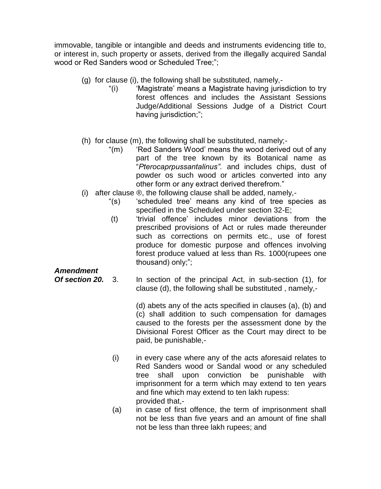immovable, tangible or intangible and deeds and instruments evidencing title to, or interest in, such property or assets, derived from the illegally acquired Sandal wood or Red Sanders wood or Scheduled Tree;";

- (g) for clause (i), the following shall be substituted, namely,-
	- "(i) 'Magistrate' means a Magistrate having jurisdiction to try forest offences and includes the Assistant Sessions Judge/Additional Sessions Judge of a District Court having jurisdiction;";
- (h) for clause (m), the following shall be substituted, namely;-
	- "(m) 'Red Sanders Wood' means the wood derived out of any part of the tree known by its Botanical name as "*Pterocaprpussantalinus".* and includes chips, dust of powder os such wood or articles converted into any other form or any extract derived therefrom."
- (i) after clause ®, the following clause shall be added, namely,-
	- "(s) 'scheduled tree' means any kind of tree species as specified in the Scheduled under section 32-E;
	- (t) 'trivial offence' includes minor deviations from the prescribed provisions of Act or rules made thereunder such as corrections on permits etc., use of forest produce for domestic purpose and offences involving forest produce valued at less than Rs. 1000(rupees one thousand) only;";

#### *Amendment*

*Of section 20.* 3. In section of the principal Act, in sub-section (1), for clause (d), the following shall be substituted , namely,-

> (d) abets any of the acts specified in clauses (a), (b) and (c) shall addition to such compensation for damages caused to the forests per the assessment done by the Divisional Forest Officer as the Court may direct to be paid, be punishable,-

- (i) in every case where any of the acts aforesaid relates to Red Sanders wood or Sandal wood or any scheduled tree shall upon conviction be punishable with imprisonment for a term which may extend to ten years and fine which may extend to ten lakh rupess: provided that,-
- (a) in case of first offence, the term of imprisonment shall not be less than five years and an amount of fine shall not be less than three lakh rupees; and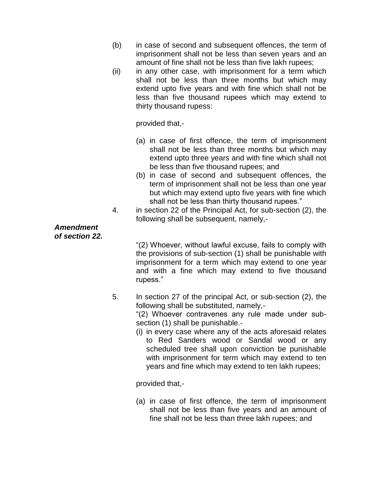- (b) in case of second and subsequent offences, the term of imprisonment shall not be less than seven years and an amount of fine shall not be less than five lakh rupees;
- (ii) in any other case, with imprisonment for a term which shall not be less than three months but which may extend upto five years and with fine which shall not be less than five thousand rupees which may extend to thirty thousand rupess:

provided that,-

- (a) in case of first offence, the term of imprisonment shall not be less than three months but which may extend upto three years and with fine which shall not be less than five thousand rupees; and
- (b) in case of second and subsequent offences, the term of imprisonment shall not be less than one year but which may extend upto five years with fine which shall not be less than thirty thousand rupees."
- 4. in section 22 of the Principal Act, for sub-section (2), the following shall be subsequent, namely,-

*Amendment of section 22.*

"(2) Whoever, without lawful excuse, fails to comply with the provisions of sub-section (1) shall be punishable with imprisonment for a term which may extend to one year and with a fine which may extend to five thousand rupess."

5. In section 27 of the principal Act, or sub-section (2), the following shall be substituted, namely,-

"(2) Whoever contravenes any rule made under subsection (1) shall be punishable.-

(i) in every case where any of the acts aforesaid relates to Red Sanders wood or Sandal wood or any scheduled tree shall upon conviction be punishable with imprisonment for term which may extend to ten years and fine which may extend to ten lakh rupees;

provided that,-

(a) in case of first offence, the term of imprisonment shall not be less than five years and an amount of fine shall not be less than three lakh rupees; and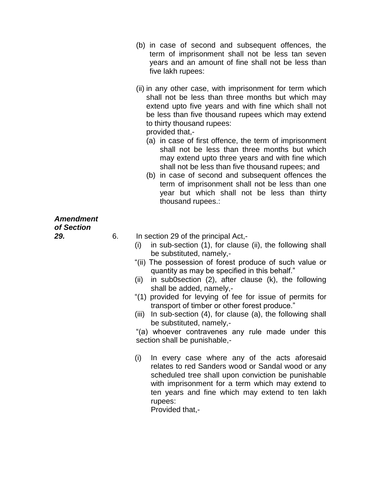- (b) in case of second and subsequent offences, the term of imprisonment shall not be less tan seven years and an amount of fine shall not be less than five lakh rupees:
- (ii) in any other case, with imprisonment for term which shall not be less than three months but which may extend upto five years and with fine which shall not be less than five thousand rupees which may extend to thirty thousand rupees:

provided that,-

- (a) in case of first offence, the term of imprisonment shall not be less than three months but which may extend upto three years and with fine which shall not be less than five thousand rupees; and
- (b) in case of second and subsequent offences the term of imprisonment shall not be less than one year but which shall not be less than thirty thousand rupees.:

# *Amendment of Section*

- *29.* 6. In section 29 of the principal Act,-
	- (i) in sub-section (1), for clause (ii), the following shall be substituted, namely,-
	- "(ii) The possession of forest produce of such value or quantity as may be specified in this behalf."
	- (ii) in sub0section (2), after clause (k), the following shall be added, namely,-
	- "(1) provided for levying of fee for issue of permits for transport of timber or other forest produce."
	- (iii) In sub-section (4), for clause (a), the following shall be substituted, namely,-

"(a) whoever contravenes any rule made under this section shall be punishable,-

(i) In every case where any of the acts aforesaid relates to red Sanders wood or Sandal wood or any scheduled tree shall upon conviction be punishable with imprisonment for a term which may extend to ten years and fine which may extend to ten lakh rupees:

Provided that,-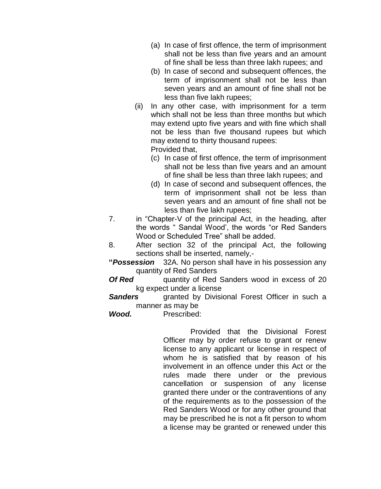- (a) In case of first offence, the term of imprisonment shall not be less than five years and an amount of fine shall be less than three lakh rupees; and
- (b) In case of second and subsequent offences, the term of imprisonment shall not be less than seven years and an amount of fine shall not be less than five lakh rupees;
- (ii) In any other case, with imprisonment for a term which shall not be less than three months but which may extend upto five years and with fine which shall not be less than five thousand rupees but which may extend to thirty thousand rupees: Provided that,
	- (c) In case of first offence, the term of imprisonment shall not be less than five years and an amount of fine shall be less than three lakh rupees; and
	- (d) In case of second and subsequent offences, the term of imprisonment shall not be less than seven years and an amount of fine shall not be less than five lakh rupees;
- 7. in "Chapter-V of the principal Act, in the heading, after the words " Sandal Wood', the words "or Red Sanders Wood or Scheduled Tree" shall be added.
- 8. After section 32 of the principal Act, the following sections shall be inserted, namely,-
- **"***Possession* 32A. No person shall have in his possession any quantity of Red Sanders
- **Of Red** quantity of Red Sanders wood in excess of 20 kg expect under a license
- **Sanders granted by Divisional Forest Officer in such a** manner as may be
- *Wood.* Prescribed:

Provided that the Divisional Forest Officer may by order refuse to grant or renew license to any applicant or license in respect of whom he is satisfied that by reason of his involvement in an offence under this Act or the rules made there under or the previous cancellation or suspension of any license granted there under or the contraventions of any of the requirements as to the possession of the Red Sanders Wood or for any other ground that may be prescribed he is not a fit person to whom a license may be granted or renewed under this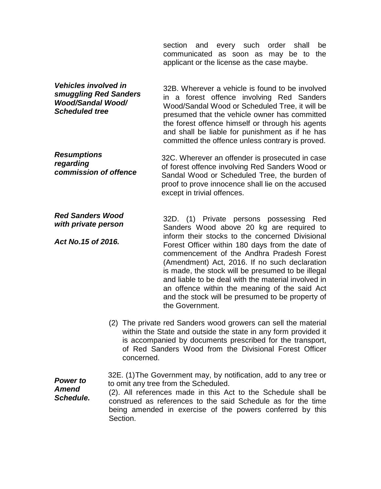section and every such order shall be communicated as soon as may be to the applicant or the license as the case maybe.

32B. Wherever a vehicle is found to be involved in a forest offence involving Red Sanders Wood/Sandal Wood or Scheduled Tree, it will be presumed that the vehicle owner has committed the forest offence himself or through his agents and shall be liable for punishment as if he has committed the offence unless contrary is proved. *Vehicles involved in smuggling Red Sanders Wood/Sandal Wood/ Scheduled tree*

32C. Wherever an offender is prosecuted in case of forest offence involving Red Sanders Wood or Sandal Wood or Scheduled Tree, the burden of proof to prove innocence shall lie on the accused except in trivial offences. *Resumptions regarding commission of offence*

32D. (1) Private persons possessing Red Sanders Wood above 20 kg are required to inform their stocks to the concerned Divisional Forest Officer within 180 days from the date of commencement of the Andhra Pradesh Forest (Amendment) Act, 2016. If no such declaration is made, the stock will be presumed to be illegal and liable to be deal with the material involved in an offence within the meaning of the said Act and the stock will be presumed to be property of the Government. *Red Sanders Wood with private person Act No.15 of 2016.* 

> (2) The private red Sanders wood growers can sell the material within the State and outside the state in any form provided it is accompanied by documents prescribed for the transport, of Red Sanders Wood from the Divisional Forest Officer concerned.

32E. (1)The Government may, by notification, add to any tree or to omit any tree from the Scheduled. *Power to* 

(2). All references made in this Act to the Schedule shall be construed as references to the said Schedule as for the time being amended in exercise of the powers conferred by this Section. *Amend Schedule.*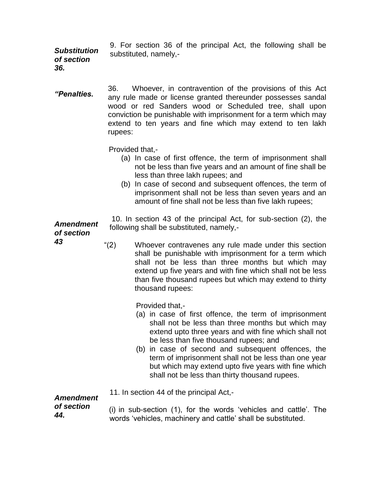9. For section 36 of the principal Act, the following shall be substituted, namely,- *Substitution of section* 

*36.*

36. Whoever, in contravention of the provisions of this Act any rule made or license granted thereunder possesses sandal wood or red Sanders wood or Scheduled tree, shall upon conviction be punishable with imprisonment for a term which may extend to ten years and fine which may extend to ten lakh rupees: *"Penalties.*

Provided that,-

- (a) In case of first offence, the term of imprisonment shall not be less than five years and an amount of fine shall be less than three lakh rupees; and
- (b) In case of second and subsequent offences, the term of imprisonment shall not be less than seven years and an amount of fine shall not be less than five lakh rupees;

10. In section 43 of the principal Act, for sub-section (2), the following shall be substituted, namely,-

# *of section*

*Amendment* 

"(2) Whoever contravenes any rule made under this section shall be punishable with imprisonment for a term which shall not be less than three months but which may extend up five years and with fine which shall not be less than five thousand rupees but which may extend to thirty thousand rupees:

Provided that,-

- (a) in case of first offence, the term of imprisonment shall not be less than three months but which may extend upto three years and with fine which shall not be less than five thousand rupees; and
- (b) in case of second and subsequent offences, the term of imprisonment shall not be less than one year but which may extend upto five years with fine which shall not be less than thirty thousand rupees.
- 11. In section 44 of the principal Act,-

#### *Amendment of section*

*44.*

(i) in sub-section (1), for the words 'vehicles and cattle'. The words 'vehicles, machinery and cattle' shall be substituted.

*43*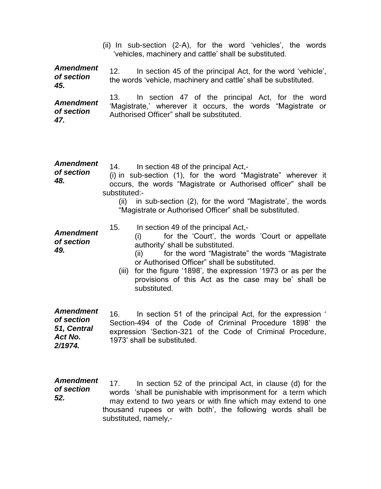(ii) In sub-section (2-A), for the word 'vehicles', the words 'vehicles, machinery and cattle' shall be substituted.

12. In section 45 of the principal Act, for the word 'vehicle', the words 'vehicle, machinery and cattle' shall be substituted. *Amendment of section 45.*

13. In section 47 of the principal Act, for the word 'Magistrate,' wherever it occurs, the words "Magistrate or Authorised Officer" shall be substituted. *Amendment of section 47.*

| <b>Amendment</b><br>of section<br>48. | In section 48 of the principal Act,-<br>14.<br>(i) in sub-section (1), for the word "Magistrate" wherever it<br>occurs, the words "Magistrate or Authorised officer" shall be<br>substituted:-<br>(ii) in sub-section (2), for the word "Magistrate', the words<br>"Magistrate or Authorised Officer" shall be substituted.                                                                       |
|---------------------------------------|---------------------------------------------------------------------------------------------------------------------------------------------------------------------------------------------------------------------------------------------------------------------------------------------------------------------------------------------------------------------------------------------------|
| <b>Amendment</b><br>of section<br>49. | 15.<br>In section 49 of the principal Act,-<br>for the 'Court', the words 'Court or appellate<br>(i)<br>authority' shall be substituted.<br>for the word "Magistrate" the words "Magistrate"<br>(ii)<br>or Authorised Officer" shall be substituted.<br>for the figure '1898', the expression '1973 or as per the<br>(iii)<br>provisions of this Act as the case may be' shall be<br>substituted. |
| <b>Amendment</b>                      | In section 51 of the principal Act, for the expression '                                                                                                                                                                                                                                                                                                                                          |
| of section                            | 16.                                                                                                                                                                                                                                                                                                                                                                                               |
| 51, Central                           | Section-494 of the Code of Criminal Procedure 1898' the                                                                                                                                                                                                                                                                                                                                           |
| Act No.                               | expression 'Section-321 of the Code of Criminal Procedure,                                                                                                                                                                                                                                                                                                                                        |
| 2/1974.                               | 1973' shall be substituted.                                                                                                                                                                                                                                                                                                                                                                       |
| <b>Amendment</b>                      | 17.                                                                                                                                                                                                                                                                                                                                                                                               |
| of section                            | In section 52 of the principal Act, in clause (d) for the                                                                                                                                                                                                                                                                                                                                         |

words 'shall be punishable with imprisonment for a term which may extend to two years or with fine which may extend to one thousand rupees or with both', the following words shall be substituted, namely, *of section 52.*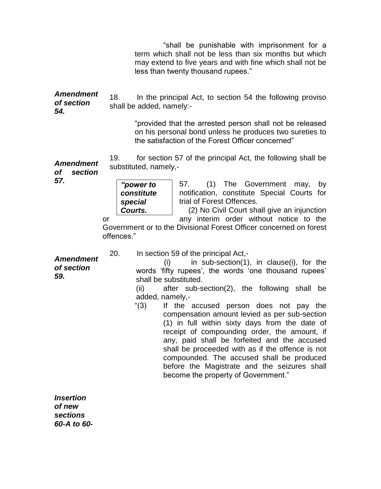"shall be punishable with imprisonment for a term which shall not be less than six months but which may extend to five years and with fine which shall not be less than twenty thousand rupees."

18. In the principal Act, to section 54 the following proviso shall be added, namely:- *Amendment of section 54.*

> "provided that the arrested person shall not be released on his personal bond unless he produces two sureties to the satisfaction of the Forest Officer concerned"

19. for section 57 of the principal Act, the following shall be substituted, namely,- *Amendment* 

*of section 57. "power to* 

*constitute special Courts.*

57. (1) The Government may, by notification, constitute Special Courts for trial of Forest Offences.

(2) No Civil Court shall give an injunction or **any** interim order without notice to the

Government or to the Divisional Forest Officer concerned on forest offences."

20. In section 59 of the principal Act,-

*Amendment of section 59.*

 $(i)$  in sub-section(1), in clause(i), for the words 'fifty rupees', the words 'one thousand rupees' shall be substituted.

(ii) after sub-section(2), the following shall be added, namely,-

"(3) If the accused person does not pay the compensation amount levied as per sub-section (1) in full within sixty days from the date of receipt of compounding order, the amount, if any, paid shall be forfeited and the accused shall be proceeded with as if the offence is not compounded. The accused shall be produced before the Magistrate and the seizures shall become the property of Government."

*Insertion of new sections 60-A to 60-*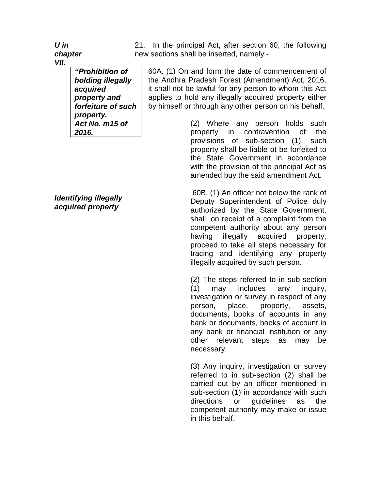*U in chapter VII.*

> *"Prohibition of holding illegally acquired property and forfeiture of such property. Act No. m15 of 2016.*

*Identifying illegally acquired property*

21. In the principal Act, after section 60, the following new sections shall be inserted, namely:-

60A. (1) On and form the date of commencement of the Andhra Pradesh Forest (Amendment) Act, 2016, it shall not be lawful for any person to whom this Act applies to hold any illegally acquired property either by himself or through any other person on his behalf.

> (2) Where any person holds such property in contravention of the provisions of sub-section (1), such property shall be liable ot be forfeited to the State Government in accordance with the provision of the principal Act as amended buy the said amendment Act.

> 60B. (1) An officer not below the rank of Deputy Superintendent of Police duly authorized by the State Government, shall, on receipt of a complaint from the competent authority about any person having illegally acquired property, proceed to take all steps necessary for tracing and identifying any property illegally acquired by such person.

> (2) The steps referred to in sub-section (1) may includes any inquiry, investigation or survey in respect of any person, place, property, assets, documents, books of accounts in any bank or documents, books of account in any bank or financial institution or any other relevant steps as may be necessary.

> (3) Any inquiry, investigation or survey referred to in sub-section (2) shall be carried out by an officer mentioned in sub-section (1) in accordance with such directions or guidelines as the competent authority may make or issue in this behalf.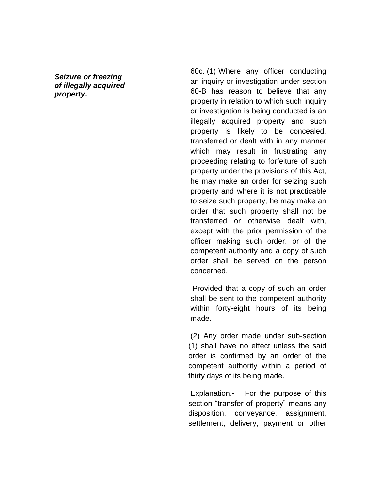*Seizure or freezing of illegally acquired property.*

60c. (1) Where any officer conducting an inquiry or investigation under section 60-B has reason to believe that any property in relation to which such inquiry or investigation is being conducted is an illegally acquired property and such property is likely to be concealed, transferred or dealt with in any manner which may result in frustrating any proceeding relating to forfeiture of such property under the provisions of this Act, he may make an order for seizing such property and where it is not practicable to seize such property, he may make an order that such property shall not be transferred or otherwise dealt with, except with the prior permission of the officer making such order, or of the competent authority and a copy of such order shall be served on the person concerned.

 Provided that a copy of such an order shall be sent to the competent authority within forty-eight hours of its being made.

(2) Any order made under sub-section (1) shall have no effect unless the said order is confirmed by an order of the competent authority within a period of thirty days of its being made.

Explanation.- For the purpose of this section "transfer of property" means any disposition, conveyance, assignment, settlement, delivery, payment or other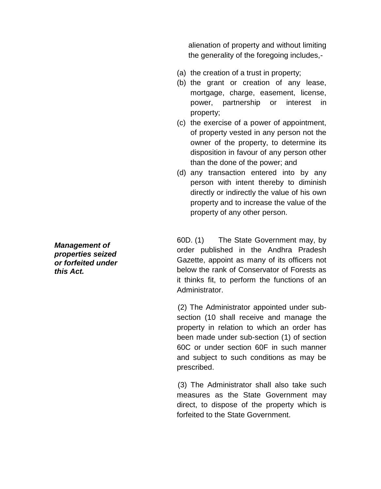alienation of property and without limiting the generality of the foregoing includes,-

- (a) the creation of a trust in property;
- (b) the grant or creation of any lease, mortgage, charge, easement, license, power, partnership or interest in property;
- (c) the exercise of a power of appointment, of property vested in any person not the owner of the property, to determine its disposition in favour of any person other than the done of the power; and
- (d) any transaction entered into by any person with intent thereby to diminish directly or indirectly the value of his own property and to increase the value of the property of any other person.

60D. (1) The State Government may, by order published in the Andhra Pradesh Gazette, appoint as many of its officers not below the rank of Conservator of Forests as it thinks fit, to perform the functions of an Administrator.

(2) The Administrator appointed under subsection (10 shall receive and manage the property in relation to which an order has been made under sub-section (1) of section 60C or under section 60F in such manner and subject to such conditions as may be prescribed.

(3) The Administrator shall also take such measures as the State Government may direct, to dispose of the property which is forfeited to the State Government.

*Management of properties seized or forfeited under this Act.*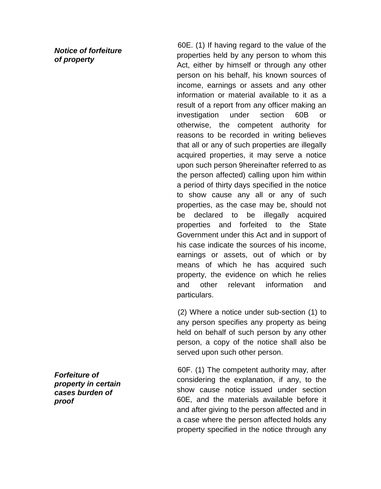*Notice of forfeiture of property*

60E. (1) If having regard to the value of the properties held by any person to whom this Act, either by himself or through any other person on his behalf, his known sources of income, earnings or assets and any other information or material available to it as a result of a report from any officer making an investigation under section 60B or otherwise, the competent authority for reasons to be recorded in writing believes that all or any of such properties are illegally acquired properties, it may serve a notice upon such person 9hereinafter referred to as the person affected) calling upon him within a period of thirty days specified in the notice to show cause any all or any of such properties, as the case may be, should not be declared to be illegally acquired properties and forfeited to the State Government under this Act and in support of his case indicate the sources of his income, earnings or assets, out of which or by means of which he has acquired such property, the evidence on which he relies and other relevant information and particulars.

(2) Where a notice under sub-section (1) to any person specifies any property as being held on behalf of such person by any other person, a copy of the notice shall also be served upon such other person.

60F. (1) The competent authority may, after considering the explanation, if any, to the show cause notice issued under section 60E, and the materials available before it and after giving to the person affected and in a case where the person affected holds any property specified in the notice through any

*Forfeiture of property in certain cases burden of proof*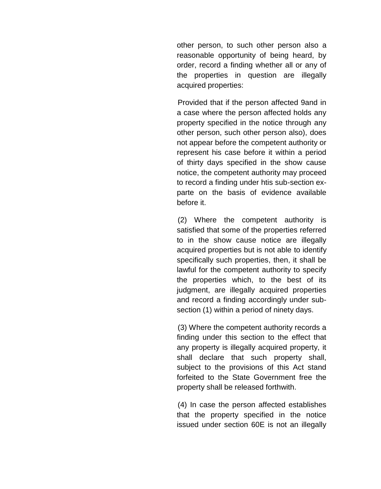other person, to such other person also a reasonable opportunity of being heard, by order, record a finding whether all or any of the properties in question are illegally acquired properties:

Provided that if the person affected 9and in a case where the person affected holds any property specified in the notice through any other person, such other person also), does not appear before the competent authority or represent his case before it within a period of thirty days specified in the show cause notice, the competent authority may proceed to record a finding under htis sub-section exparte on the basis of evidence available before it.

(2) Where the competent authority is satisfied that some of the properties referred to in the show cause notice are illegally acquired properties but is not able to identify specifically such properties, then, it shall be lawful for the competent authority to specify the properties which, to the best of its judgment, are illegally acquired properties and record a finding accordingly under subsection (1) within a period of ninety days.

(3) Where the competent authority records a finding under this section to the effect that any property is illegally acquired property, it shall declare that such property shall, subject to the provisions of this Act stand forfeited to the State Government free the property shall be released forthwith.

(4) In case the person affected establishes that the property specified in the notice issued under section 60E is not an illegally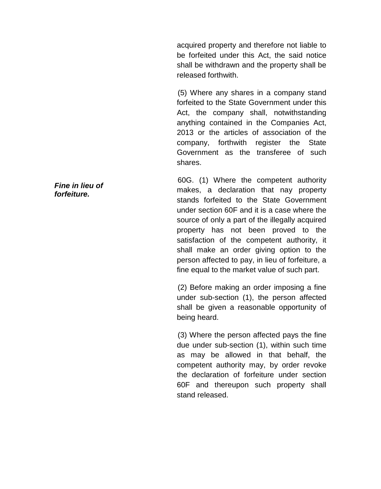acquired property and therefore not liable to be forfeited under this Act, the said notice shall be withdrawn and the property shall be released forthwith.

(5) Where any shares in a company stand forfeited to the State Government under this Act, the company shall, notwithstanding anything contained in the Companies Act, 2013 or the articles of association of the company, forthwith register the State Government as the transferee of such shares.

60G. (1) Where the competent authority makes, a declaration that nay property stands forfeited to the State Government under section 60F and it is a case where the source of only a part of the illegally acquired property has not been proved to the satisfaction of the competent authority, it shall make an order giving option to the person affected to pay, in lieu of forfeiture, a fine equal to the market value of such part.

(2) Before making an order imposing a fine under sub-section (1), the person affected shall be given a reasonable opportunity of being heard.

(3) Where the person affected pays the fine due under sub-section (1), within such time as may be allowed in that behalf, the competent authority may, by order revoke the declaration of forfeiture under section 60F and thereupon such property shall stand released.

*Fine in lieu of forfeiture.*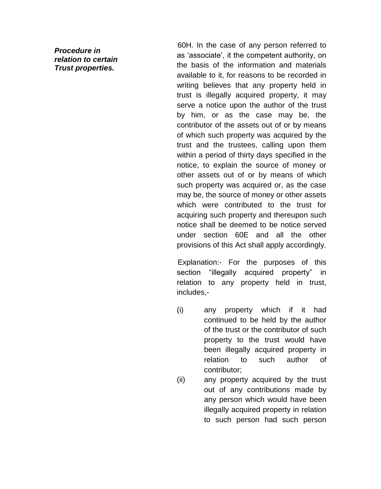*Procedure in relation to certain Trust properties.*

60H. In the case of any person referred to as 'associate', it the competent authority, on the basis of the information and materials available to it, for reasons to be recorded in writing believes that any property held in trust is illegally acquired property, it may serve a notice upon the author of the trust by him, or as the case may be, the contributor of the assets out of or by means of which such property was acquired by the trust and the trustees, calling upon them within a period of thirty days specified in the notice, to explain the source of money or other assets out of or by means of which such property was acquired or, as the case may be, the source of money or other assets which were contributed to the trust for acquiring such property and thereupon such notice shall be deemed to be notice served under section 60E and all the other provisions of this Act shall apply accordingly.

Explanation:- For the purposes of this section "illegally acquired property" in relation to any property held in trust, includes,-

- (i) any property which if it had continued to be held by the author of the trust or the contributor of such property to the trust would have been illegally acquired property in relation to such author of contributor;
- (ii) any property acquired by the trust out of any contributions made by any person which would have been illegally acquired property in relation to such person had such person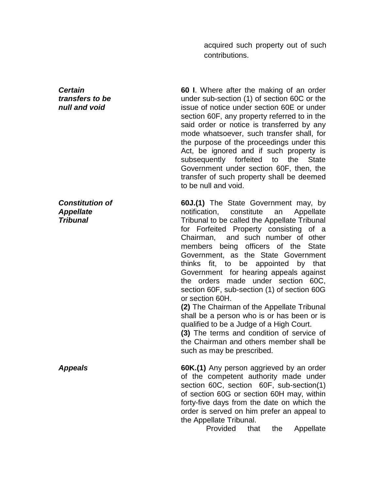acquired such property out of such contributions.

**60 I**. Where after the making of an order under sub-section (1) of section 60C or the issue of notice under section 60E or under section 60F, any property referred to in the said order or notice is transferred by any mode whatsoever, such transfer shall, for the purpose of the proceedings under this Act, be ignored and if such property is subsequently forfeited to the State Government under section 60F, then, the transfer of such property shall be deemed to be null and void.

**60J.(1)** The State Government may, by notification, constitute an Appellate Tribunal to be called the Appellate Tribunal for Forfeited Property consisting of a Chairman, and such number of other members being officers of the State Government, as the State Government thinks fit, to be appointed by that Government for hearing appeals against the orders made under section 60C, section 60F, sub-section (1) of section 60G or section 60H.

**(2)** The Chairman of the Appellate Tribunal shall be a person who is or has been or is qualified to be a Judge of a High Court.

**(3)** The terms and condition of service of the Chairman and others member shall be such as may be prescribed.

*Appeals* **60K.(1)** Any person aggrieved by an order of the competent authority made under section 60C, section 60F, sub-section(1) of section 60G or section 60H may, within forty-five days from the date on which the order is served on him prefer an appeal to the Appellate Tribunal.

Provided that the Appellate

*Certain transfers to be null and void*

*Constitution of Appellate Tribunal*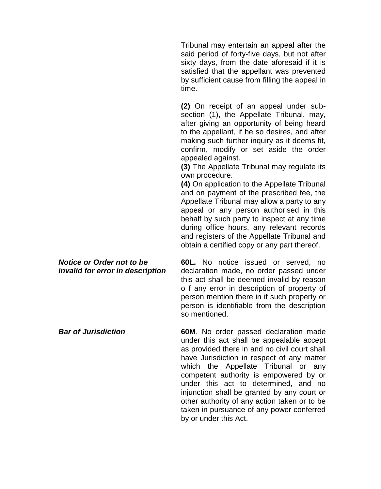Tribunal may entertain an appeal after the said period of forty-five days, but not after sixty days, from the date aforesaid if it is satisfied that the appellant was prevented by sufficient cause from filling the appeal in time.

**(2)** On receipt of an appeal under subsection (1), the Appellate Tribunal, may, after giving an opportunity of being heard to the appellant, if he so desires, and after making such further inquiry as it deems fit, confirm, modify or set aside the order appealed against.

**(3)** The Appellate Tribunal may regulate its own procedure.

**(4)** On application to the Appellate Tribunal and on payment of the prescribed fee, the Appellate Tribunal may allow a party to any appeal or any person authorised in this behalf by such party to inspect at any time during office hours, any relevant records and registers of the Appellate Tribunal and obtain a certified copy or any part thereof.

*Notice or Order not to be invalid for error in description*  **60L.** No notice issued or served, no declaration made, no order passed under this act shall be deemed invalid by reason o f any error in description of property of person mention there in if such property or person is identifiable from the description so mentioned.

*Bar of Jurisdiction* **60M**. No order passed declaration made under this act shall be appealable accept as provided there in and no civil court shall have Jurisdiction in respect of any matter which the Appellate Tribunal or any competent authority is empowered by or under this act to determined, and no injunction shall be granted by any court or other authority of any action taken or to be taken in pursuance of any power conferred by or under this Act.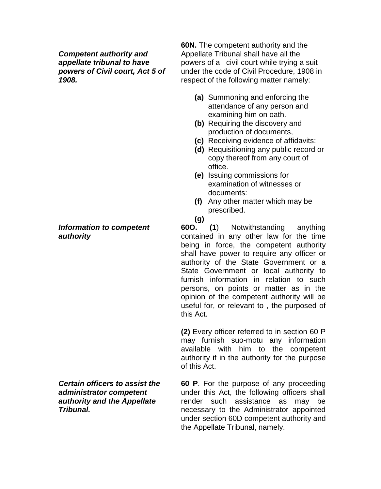*Competent authority and appellate tribunal to have powers of Civil court, Act 5 of 1908.*

#### *Information to competent authority*

*Certain officers to assist the administrator competent authority and the Appellate Tribunal.*

**60N.** The competent authority and the Appellate Tribunal shall have all the powers of a civil court while trying a suit under the code of Civil Procedure, 1908 in respect of the following matter namely:

- **(a)** Summoning and enforcing the attendance of any person and examining him on oath.
- **(b)** Requiring the discovery and production of documents,
- **(c)** Receiving evidence of affidavits:
- **(d)** Requisitioning any public record or copy thereof from any court of office.
- **(e)** Issuing commissions for examination of witnesses or documents:
- **(f)** Any other matter which may be prescribed.
- **(g)**

**60O. (1**) Notwithstanding anything contained in any other law for the time being in force, the competent authority shall have power to require any officer or authority of the State Government or a State Government or local authority to furnish information in relation to such persons, on points or matter as in the opinion of the competent authority will be useful for, or relevant to , the purposed of this Act.

**(2)** Every officer referred to in section 60 P may furnish suo-motu any information available with him to the competent authority if in the authority for the purpose of this Act.

**60 P**. For the purpose of any proceeding under this Act, the following officers shall render such assistance as may be necessary to the Administrator appointed under section 60D competent authority and the Appellate Tribunal, namely.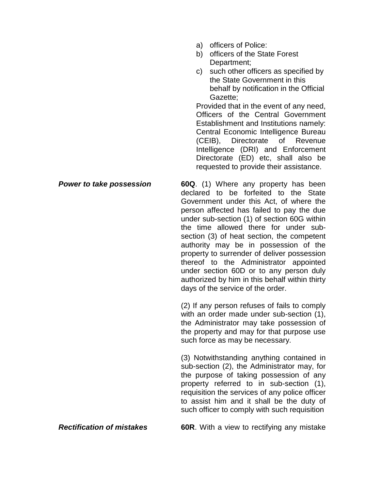- a) officers of Police:
- b) officers of the State Forest Department;
- c) such other officers as specified by the State Government in this behalf by notification in the Official Gazette;

Provided that in the event of any need, Officers of the Central Government Establishment and Institutions namely: Central Economic Intelligence Bureau (CEIB), Directorate of Revenue Intelligence (DRI) and Enforcement Directorate (ED) etc, shall also be requested to provide their assistance.

*Power to take possession* **60Q**. (1) Where any property has been declared to be forfeited to the State Government under this Act, of where the person affected has failed to pay the due under sub-section (1) of section 60G within the time allowed there for under subsection (3) of heat section, the competent authority may be in possession of the property to surrender of deliver possession thereof to the Administrator appointed under section 60D or to any person duly authorized by him in this behalf within thirty days of the service of the order.

> (2) If any person refuses of fails to comply with an order made under sub-section (1), the Administrator may take possession of the property and may for that purpose use such force as may be necessary.

> (3) Notwithstanding anything contained in sub-section (2), the Administrator may, for the purpose of taking possession of any property referred to in sub-section (1), requisition the services of any police officer to assist him and it shall be the duty of such officer to comply with such requisition

*Rectification of mistakes* **60R**. With a view to rectifying any mistake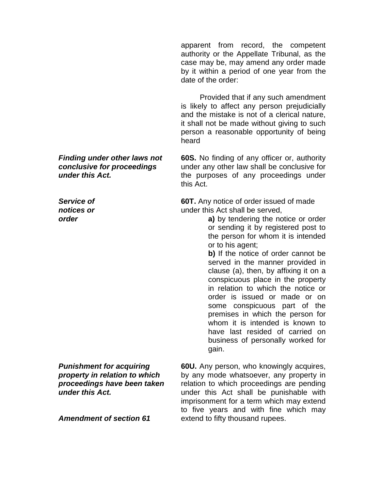apparent from record, the competent authority or the Appellate Tribunal, as the case may be, may amend any order made by it within a period of one year from the date of the order:

 Provided that if any such amendment is likely to affect any person prejudicially and the mistake is not of a clerical nature, it shall not be made without giving to such person a reasonable opportunity of being heard

**60S.** No finding of any officer or, authority under any other law shall be conclusive for the purposes of any proceedings under this Act.

**60T.** Any notice of order issued of made under this Act shall be served,

> **a)** by tendering the notice or order or sending it by registered post to the person for whom it is intended or to his agent;

> **b)** If the notice of order cannot be served in the manner provided in clause (a), then, by affixing it on a conspicuous place in the property in relation to which the notice or order is issued or made or on some conspicuous part of the premises in which the person for whom it is intended is known to have last resided of carried on business of personally worked for gain.

**60U.** Any person, who knowingly acquires, by any mode whatsoever, any property in relation to which proceedings are pending under this Act shall be punishable with imprisonment for a term which may extend to five years and with fine which may extend to fifty thousand rupees.

*Finding under other laws not conclusive for proceedings under this Act.*

*Service of notices or order*

*Punishment for acquiring property in relation to which proceedings have been taken under this Act.*

*Amendment of section 61*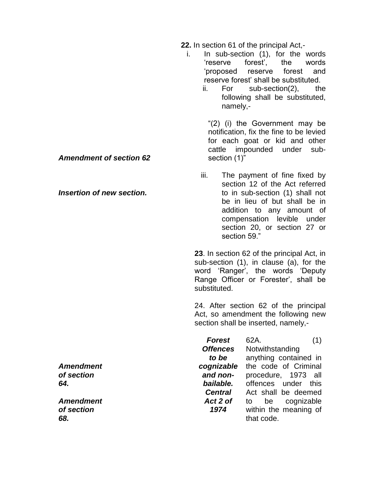**22.** In section 61 of the principal Act,-

- i. In sub-section (1), for the words 'reserve forest', the words 'proposed reserve forest and reserve forest' shall be substituted.
	- ii. For sub-section(2), the following shall be substituted, namely,-

"(2) (i) the Government may be notification, fix the fine to be levied for each goat or kid and other cattle impounded under subsection (1)"

iii. The payment of fine fixed by section 12 of the Act referred to in sub-section (1) shall not be in lieu of but shall be in addition to any amount of compensation levible under section 20, or section 27 or section 59."

**23**. In section 62 of the principal Act, in sub-section (1), in clause (a), for the word 'Ranger', the words 'Deputy Range Officer or Forester', shall be substituted.

24. After section 62 of the principal Act, so amendment the following new section shall be inserted, namely,-

| 62A.                  |
|-----------------------|
| Notwithstanding       |
| anything contained in |
| the code of Criminal  |
| procedure, 1973 all   |
| offences under this   |
| Act shall be deemed   |
| be cognizable<br>to   |
| within the meaning of |
| that code.            |
|                       |

*Amendment of section 62*

*Insertion of new section.*

*Amendment of section 64.*

*Amendment of section 68.*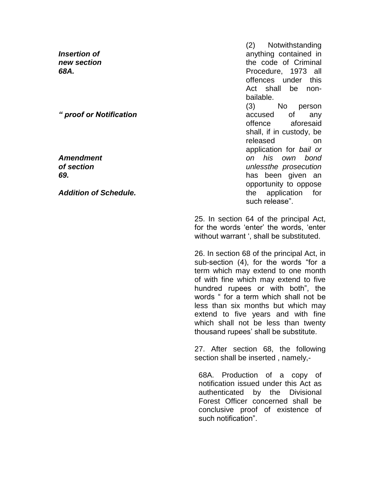*Insertion of new section 68A.*

*" proof or Notification*

*Amendment of section 69.*

*Addition of Schedule.*

(2) Notwithstanding anything contained in the code of Criminal Procedure, 1973 all offences under this Act shall be nonbailable. (3) No person accused of any offence aforesaid shall, if in custody, be released on application for *bail or on his own bond unlessthe prosecution* has been given an opportunity to oppose the application for such release".

25. In section 64 of the principal Act, for the words 'enter' the words, 'enter without warrant ', shall be substituted.

26. In section 68 of the principal Act, in sub-section (4), for the words "for a term which may extend to one month of with fine which may extend to five hundred rupees or with both", the words " for a term which shall not be less than six months but which may extend to five years and with fine which shall not be less than twenty thousand rupees' shall be substitute.

27. After section 68, the following section shall be inserted , namely,-

68A. Production of a copy of notification issued under this Act as authenticated by the Divisional Forest Officer concerned shall be conclusive proof of existence of such notification".